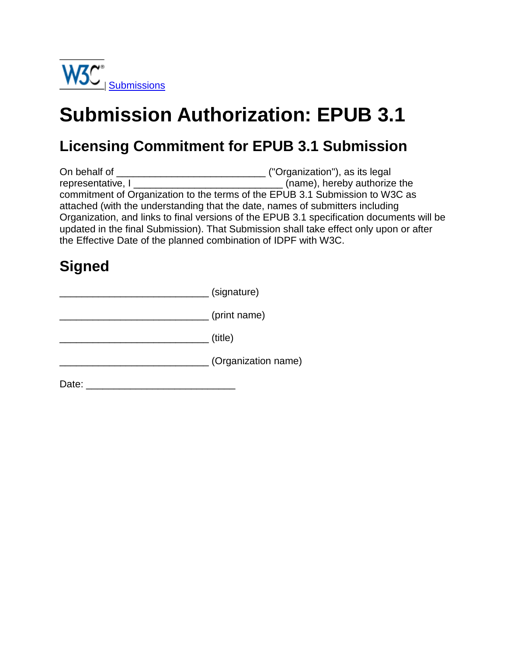

# **Submission Authorization: EPUB 3.1**

#### **Licensing Commitment for EPUB 3.1 Submission**

On behalf of \_\_\_\_\_\_\_\_\_\_\_\_\_\_\_\_\_\_\_\_\_\_\_\_\_\_\_ ("Organization"), as its legal representative, I \_\_\_\_\_\_\_\_\_\_\_\_\_\_\_\_\_\_\_\_\_\_\_\_\_\_\_ (name), hereby authorize the commitment of Organization to the terms of the EPUB 3.1 Submission to W3C as attached (with the understanding that the date, names of submitters including Organization, and links to final versions of the EPUB 3.1 specification documents will be updated in the final Submission). That Submission shall take effect only upon or after the Effective Date of the planned combination of IDPF with W3C.

### **Signed**

|       | (signature)         |
|-------|---------------------|
|       | (print name)        |
|       | (title)             |
|       | (Organization name) |
| Date: |                     |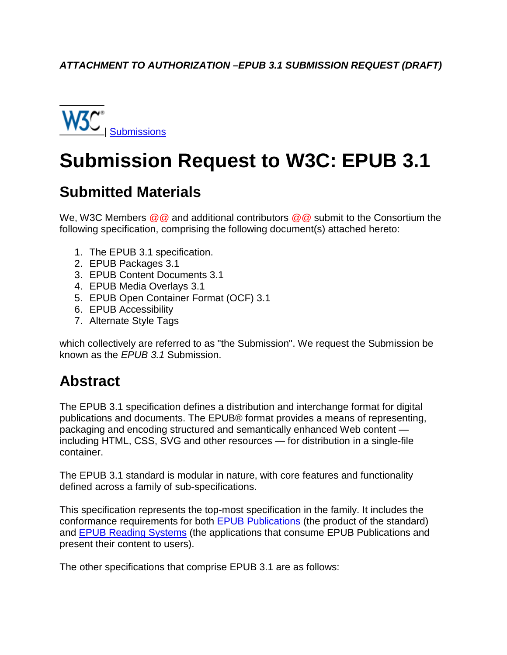

# **Submission Request to W3C: EPUB 3.1**

#### **Submitted Materials**

We, W3C Members *@@* and additional contributors *@@* submit to the Consortium the following specification, comprising the following document(s) attached hereto:

- 1. The EPUB 3.1 specification.
- 2. EPUB Packages 3.1
- 3. EPUB Content Documents 3.1
- 4. EPUB Media Overlays 3.1
- 5. EPUB Open Container Format (OCF) 3.1
- 6. EPUB Accessibility
- 7. Alternate Style Tags

which collectively are referred to as "the Submission". We request the Submission be known as the *EPUB 3.1* Submission.

#### **Abstract**

The EPUB 3.1 specification defines a distribution and interchange format for digital publications and documents. The EPUB® format provides a means of representing, packaging and encoding structured and semantically enhanced Web content including HTML, CSS, SVG and other resources — for distribution in a single-file container.

The EPUB 3.1 standard is modular in nature, with core features and functionality defined across a family of sub-specifications.

This specification represents the top-most specification in the family. It includes the conformance requirements for both EPUB Publications (the product of the standard) and EPUB Reading Systems (the applications that consume EPUB Publications and present their content to users).

The other specifications that comprise EPUB 3.1 are as follows: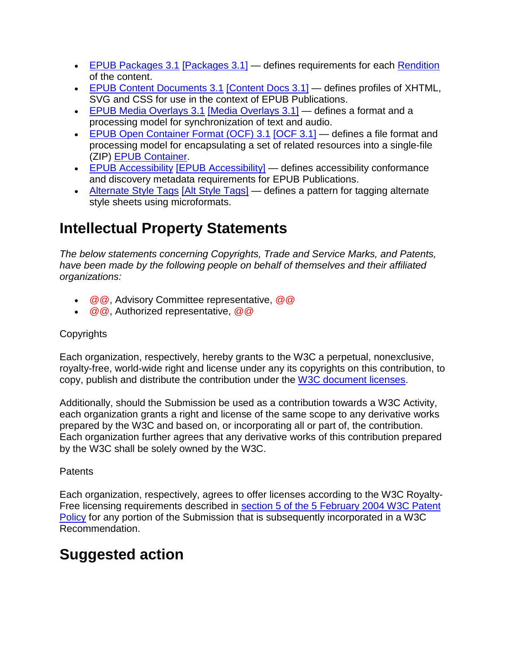- EPUB Packages 3.1 [Packages 3.1] defines requirements for each Rendition of the content.
- EPUB Content Documents 3.1 [Content Docs 3.1] defines profiles of XHTML, SVG and CSS for use in the context of EPUB Publications.
- EPUB Media Overlays 3.1 [Media Overlays 3.1] defines a format and a processing model for synchronization of text and audio.
- EPUB Open Container Format (OCF) 3.1 [OCF 3.1] defines a file format and processing model for encapsulating a set of related resources into a single-file (ZIP) EPUB Container.
- [EPUB Accessibility](http://www.idpf.org/epub/latest/accessibility) [EPUB Accessibility] defines accessibility conformance and discovery metadata requirements for EPUB Publications.
- Alternate Style Tags [Alt Style Tags] defines a pattern for tagging alternate style sheets using microformats.

### **Intellectual Property Statements**

*The below statements concerning Copyrights, Trade and Service Marks, and Patents, have been made by the following people on behalf of themselves and their affiliated organizations:* 

- $@@$ , Advisory Committee representative,  $@@$
- @ @, Authorized representative, @ @

#### **Copyrights**

Each organization, respectively, hereby grants to the W3C a perpetual, nonexclusive, royalty-free, world-wide right and license under any its copyrights on this contribution, to copy, publish and distribute the contribution under the [W3C document licenses.](http://www.w3.org/Consortium/Legal/copyright-documents)

Additionally, should the Submission be used as a contribution towards a W3C Activity, each organization grants a right and license of the same scope to any derivative works prepared by the W3C and based on, or incorporating all or part of, the contribution. Each organization further agrees that any derivative works of this contribution prepared by the W3C shall be solely owned by the W3C.

#### **Patents**

Each organization, respectively, agrees to offer licenses according to the W3C Royalty-Free licensing requirements described in [section 5 of the 5 February 2004 W3C Patent](http://www.w3.org/Consortium/Patent-Policy-20040205/#sec-Requirements)  [Policy](http://www.w3.org/Consortium/Patent-Policy-20040205/#sec-Requirements) for any portion of the Submission that is subsequently incorporated in a W3C Recommendation.

### **Suggested action**